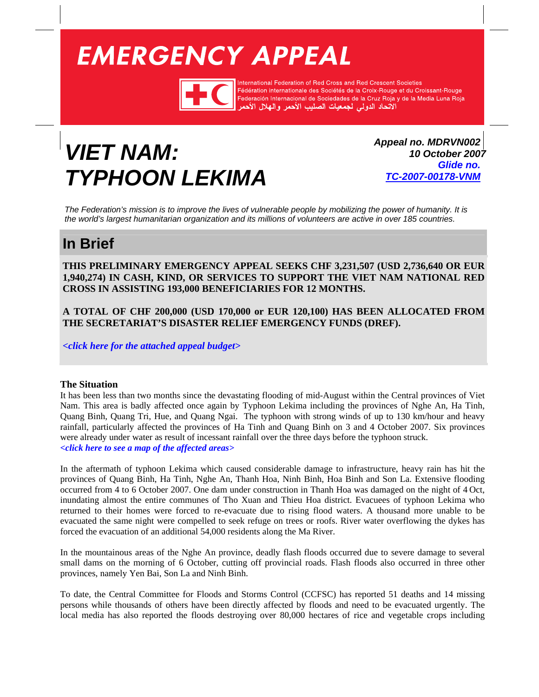# <span id="page-0-0"></span>**EMERGENCY APPEAL**



International Federation of Red Cross and Red Crescent Societies Fédération internationale des Sociétés de la Croix-Rouge et du Croissant-Rouge redefation internationale des Societes de la Croix-Houge et du Croissant-Houge<br>Federación Internacional de Sociedades de la Cruz Roja y de la Media Luna Roja<br>الاتحاد الدولي لجمعيات الصليب الأحمر والهلال الأحمر

## *VIET NAM: TYPHOON LEKIMA*

*Appeal no. MDRVN002 10 October 2007 Glide no. [TC-2007-00178-VNM](http://www.glidenumber.net/glide/public/search/details.jsp?glide=18016&record=1&last=1)*

*The Federation's mission is to improve the lives of vulnerable people by mobilizing the power of humanity. It is the world's largest humanitarian organization and its millions of volunteers are active in over 185 countries.* 

### **In Brief**

**THIS PRELIMINARY EMERGENCY APPEAL SEEKS CHF 3,231,507 (USD 2,736,640 OR EUR 1,940,274) IN CASH, KIND, OR SERVICES TO SUPPORT THE VIET NAM NATIONAL RED CROSS IN ASSISTING 193,000 BENEFICIARIES FOR 12 MONTHS.**

**A TOTAL OF CHF 200,000 (USD 170,000 or EUR 120,100) HAS BEEN ALLOCATED FROM THE SECRETARIAT'S DISASTER RELIEF EMERGENCY FUNDS (DREF).**

*[<click here for the attached appeal budget>](#page-7-0)*

#### **The Situation**

It has been less than two months since the devastating flooding of mid-August within the Central provinces of Viet Nam. This area is badly affected once again by Typhoon Lekima including the provinces of Nghe An, Ha Tinh, Quang Binh, Quang Tri, Hue, and Quang Ngai. The typhoon with strong winds of up to 130 km/hour and heavy rainfall, particularly affected the provinces of Ha Tinh and Quang Binh on 3 and 4 October 2007. Six provinces were already under water as result of incessant rainfall over the three days before the typhoon struck. *[<click here to see a map of the affected areas>](#page-8-0)* 

In the aftermath of typhoon Lekima which caused considerable damage to infrastructure, heavy rain has hit the provinces of Quang Binh, Ha Tinh, Nghe An, Thanh Hoa, Ninh Binh, Hoa Binh and Son La. Extensive flooding occurred from 4 to 6 October 2007. One dam under construction in Thanh Hoa was damaged on the night of 4 Oct, inundating almost the entire communes of Tho Xuan and Thieu Hoa district. Evacuees of typhoon Lekima who returned to their homes were forced to re-evacuate due to rising flood waters. A thousand more unable to be evacuated the same night were compelled to seek refuge on trees or roofs. River water overflowing the dykes has forced the evacuation of an additional 54,000 residents along the Ma River.

In the mountainous areas of the Nghe An province, deadly flash floods occurred due to severe damage to several small dams on the morning of 6 October, cutting off provincial roads. Flash floods also occurred in three other provinces, namely Yen Bai, Son La and Ninh Binh.

To date, the Central Committee for Floods and Storms Control (CCFSC) has reported 51 deaths and 14 missing persons while thousands of others have been directly affected by floods and need to be evacuated urgently. The local media has also reported the floods destroying over 80,000 hectares of rice and vegetable crops including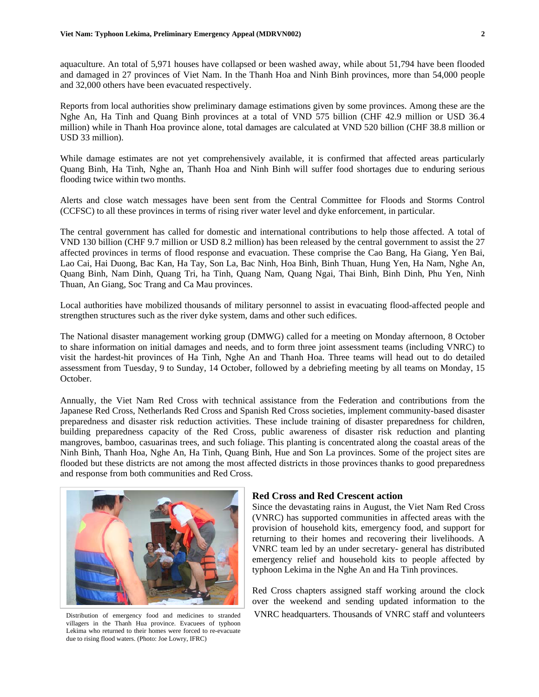aquaculture. An total of 5,971 houses have collapsed or been washed away, while about 51,794 have been flooded and damaged in 27 provinces of Viet Nam. In the Thanh Hoa and Ninh Binh provinces, more than 54,000 people and 32,000 others have been evacuated respectively.

Reports from local authorities show preliminary damage estimations given by some provinces. Among these are the Nghe An, Ha Tinh and Quang Binh provinces at a total of VND 575 billion (CHF 42.9 million or USD 36.4 million) while in Thanh Hoa province alone, total damages are calculated at VND 520 billion (CHF 38.8 million or USD 33 million).

While damage estimates are not yet comprehensively available, it is confirmed that affected areas particularly Quang Binh, Ha Tinh, Nghe an, Thanh Hoa and Ninh Binh will suffer food shortages due to enduring serious flooding twice within two months.

Alerts and close watch messages have been sent from the Central Committee for Floods and Storms Control (CCFSC) to all these provinces in terms of rising river water level and dyke enforcement, in particular.

The central government has called for domestic and international contributions to help those affected. A total of VND 130 billion (CHF 9.7 million or USD 8.2 million) has been released by the central government to assist the 27 affected provinces in terms of flood response and evacuation. These comprise the Cao Bang, Ha Giang, Yen Bai, Lao Cai, Hai Duong, Bac Kan, Ha Tay, Son La, Bac Ninh, Hoa Binh, Binh Thuan, Hung Yen, Ha Nam, Nghe An, Quang Binh, Nam Dinh, Quang Tri, ha Tinh, Quang Nam, Quang Ngai, Thai Binh, Binh Dinh, Phu Yen, Ninh Thuan, An Giang, Soc Trang and Ca Mau provinces.

Local authorities have mobilized thousands of military personnel to assist in evacuating flood-affected people and strengthen structures such as the river dyke system, dams and other such edifices.

The National disaster management working group (DMWG) called for a meeting on Monday afternoon, 8 October to share information on initial damages and needs, and to form three joint assessment teams (including VNRC) to visit the hardest-hit provinces of Ha Tinh, Nghe An and Thanh Hoa. Three teams will head out to do detailed assessment from Tuesday, 9 to Sunday, 14 October, followed by a debriefing meeting by all teams on Monday, 15 October.

Annually, the Viet Nam Red Cross with technical assistance from the Federation and contributions from the Japanese Red Cross, Netherlands Red Cross and Spanish Red Cross societies, implement community-based disaster preparedness and disaster risk reduction activities. These include training of disaster preparedness for children, building preparedness capacity of the Red Cross, public awareness of disaster risk reduction and planting mangroves, bamboo, casuarinas trees, and such foliage. This planting is concentrated along the coastal areas of the Ninh Binh, Thanh Hoa, Nghe An, Ha Tinh, Quang Binh, Hue and Son La provinces. Some of the project sites are flooded but these districts are not among the most affected districts in those provinces thanks to good preparedness and response from both communities and Red Cross.



villagers in the Thanh Hua province. Evacuees of typhoon Lekima who returned to their homes were forced to re-evacuate due to rising flood waters. (Photo: Joe Lowry, IFRC)

#### **Red Cross and Red Crescent action**

Since the devastating rains in August, the Viet Nam Red Cross (VNRC) has supported communities in affected areas with the provision of household kits, emergency food, and support for returning to their homes and recovering their livelihoods. A VNRC team led by an under secretary- general has distributed emergency relief and household kits to people affected by typhoon Lekima in the Nghe An and Ha Tinh provinces.

Red Cross chapters assigned staff working around the clock over the weekend and sending updated information to the Distribution of emergency food and medicines to stranded VNRC headquarters. Thousands of VNRC staff and volunteers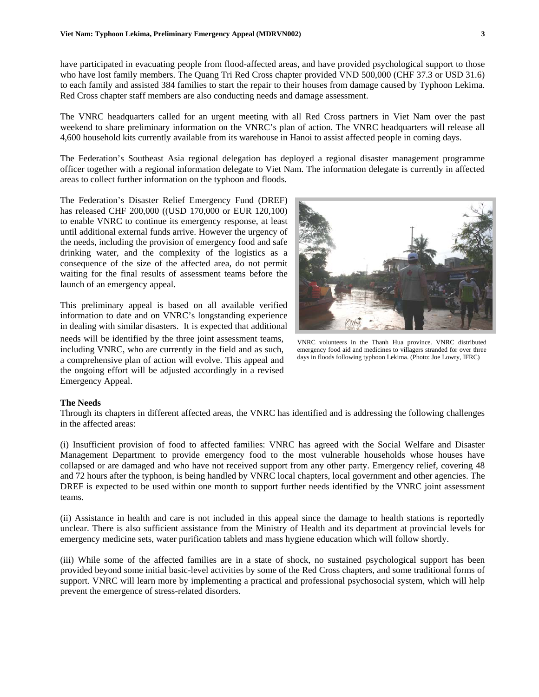have participated in evacuating people from flood-affected areas, and have provided psychological support to those who have lost family members. The Quang Tri Red Cross chapter provided VND 500,000 (CHF 37.3 or USD 31.6) to each family and assisted 384 families to start the repair to their houses from damage caused by Typhoon Lekima. Red Cross chapter staff members are also conducting needs and damage assessment.

The VNRC headquarters called for an urgent meeting with all Red Cross partners in Viet Nam over the past weekend to share preliminary information on the VNRC's plan of action. The VNRC headquarters will release all 4,600 household kits currently available from its warehouse in Hanoi to assist affected people in coming days.

The Federation's Southeast Asia regional delegation has deployed a regional disaster management programme officer together with a regional information delegate to Viet Nam. The information delegate is currently in affected areas to collect further information on the typhoon and floods.

The Federation's Disaster Relief Emergency Fund (DREF) has released CHF 200,000 ((USD 170,000 or EUR 120,100) to enable VNRC to continue its emergency response, at least until additional external funds arrive. However the urgency of the needs, including the provision of emergency food and safe drinking water, and the complexity of the logistics as a consequence of the size of the affected area, do not permit waiting for the final results of assessment teams before the launch of an emergency appeal.

This preliminary appeal is based on all available verified information to date and on VNRC's longstanding experience in dealing with similar disasters. It is expected that additional needs will be identified by the three joint assessment teams, including VNRC, who are currently in the field and as such, a comprehensive plan of action will evolve. This appeal and the ongoing effort will be adjusted accordingly in a revised Emergency Appeal.

VNRC volunteers in the Thanh Hua province. VNRC distributed emergency food aid and medicines to villagers stranded for over three days in floods following typhoon Lekima. (Photo: Joe Lowry, IFRC)

#### **The Needs**

Through its chapters in different affected areas, the VNRC has identified and is addressing the following challenges in the affected areas:

(i) Insufficient provision of food to affected families: VNRC has agreed with the Social Welfare and Disaster Management Department to provide emergency food to the most vulnerable households whose houses have collapsed or are damaged and who have not received support from any other party. Emergency relief, covering 48 and 72 hours after the typhoon, is being handled by VNRC local chapters, local government and other agencies. The DREF is expected to be used within one month to support further needs identified by the VNRC joint assessment teams.

(ii) Assistance in health and care is not included in this appeal since the damage to health stations is reportedly unclear. There is also sufficient assistance from the Ministry of Health and its department at provincial levels for emergency medicine sets, water purification tablets and mass hygiene education which will follow shortly.

(iii) While some of the affected families are in a state of shock, no sustained psychological support has been provided beyond some initial basic-level activities by some of the Red Cross chapters, and some traditional forms of support. VNRC will learn more by implementing a practical and professional psychosocial system, which will help prevent the emergence of stress-related disorders.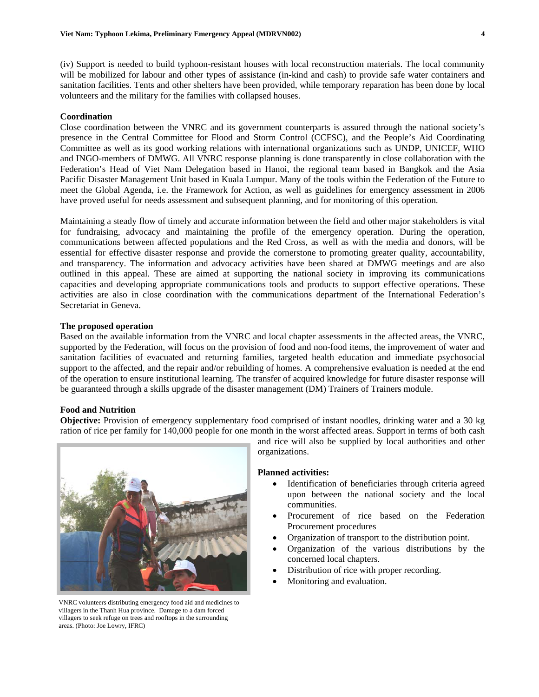(iv) Support is needed to build typhoon-resistant houses with local reconstruction materials. The local community will be mobilized for labour and other types of assistance (in-kind and cash) to provide safe water containers and sanitation facilities. Tents and other shelters have been provided, while temporary reparation has been done by local volunteers and the military for the families with collapsed houses.

#### **Coordination**

Close coordination between the VNRC and its government counterparts is assured through the national society's presence in the Central Committee for Flood and Storm Control (CCFSC), and the People's Aid Coordinating Committee as well as its good working relations with international organizations such as UNDP, UNICEF, WHO and INGO-members of DMWG. All VNRC response planning is done transparently in close collaboration with the Federation's Head of Viet Nam Delegation based in Hanoi, the regional team based in Bangkok and the Asia Pacific Disaster Management Unit based in Kuala Lumpur. Many of the tools within the Federation of the Future to meet the Global Agenda, i.e. the Framework for Action, as well as guidelines for emergency assessment in 2006 have proved useful for needs assessment and subsequent planning, and for monitoring of this operation.

Maintaining a steady flow of timely and accurate information between the field and other major stakeholders is vital for fundraising, advocacy and maintaining the profile of the emergency operation. During the operation, communications between affected populations and the Red Cross, as well as with the media and donors, will be essential for effective disaster response and provide the cornerstone to promoting greater quality, accountability, and transparency. The information and advocacy activities have been shared at DMWG meetings and are also outlined in this appeal. These are aimed at supporting the national society in improving its communications capacities and developing appropriate communications tools and products to support effective operations. These activities are also in close coordination with the communications department of the International Federation's Secretariat in Geneva.

#### **The proposed operation**

Based on the available information from the VNRC and local chapter assessments in the affected areas, the VNRC, supported by the Federation, will focus on the provision of food and non-food items, the improvement of water and sanitation facilities of evacuated and returning families, targeted health education and immediate psychosocial support to the affected, and the repair and/or rebuilding of homes. A comprehensive evaluation is needed at the end of the operation to ensure institutional learning. The transfer of acquired knowledge for future disaster response will be guaranteed through a skills upgrade of the disaster management (DM) Trainers of Trainers module.

#### **Food and Nutrition**

**Objective:** Provision of emergency supplementary food comprised of instant noodles, drinking water and a 30 kg ration of rice per family for 140,000 people for one month in the worst affected areas. Support in terms of both cash



VNRC volunteers distributing emergency food aid and medicines to villagers in the Thanh Hua province. Damage to a dam forced villagers to seek refuge on trees and rooftops in the surrounding areas. (Photo: Joe Lowry, IFRC)

and rice will also be supplied by local authorities and other organizations.

#### **Planned activities:**

- Identification of beneficiaries through criteria agreed upon between the national society and the local communities.
- Procurement of rice based on the Federation Procurement procedures
- Organization of transport to the distribution point.
- Organization of the various distributions by the concerned local chapters.
- Distribution of rice with proper recording.
- Monitoring and evaluation.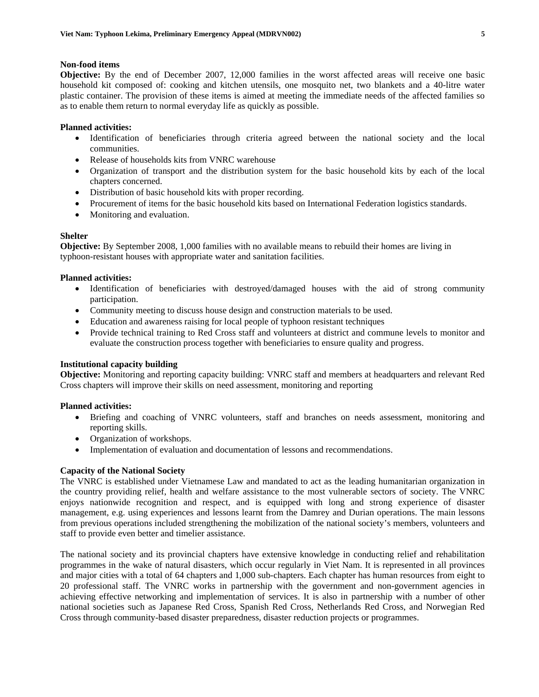#### **Non-food items**

**Objective:** By the end of December 2007, 12,000 families in the worst affected areas will receive one basic household kit composed of: cooking and kitchen utensils, one mosquito net, two blankets and a 40-litre water plastic container. The provision of these items is aimed at meeting the immediate needs of the affected families so as to enable them return to normal everyday life as quickly as possible.

#### **Planned activities:**

- Identification of beneficiaries through criteria agreed between the national society and the local communities.
- Release of households kits from VNRC warehouse
- Organization of transport and the distribution system for the basic household kits by each of the local chapters concerned.
- Distribution of basic household kits with proper recording.
- Procurement of items for the basic household kits based on International Federation logistics standards.
- Monitoring and evaluation.

#### **Shelter**

**Objective:** By September 2008, 1,000 families with no available means to rebuild their homes are living in typhoon-resistant houses with appropriate water and sanitation facilities.

#### **Planned activities:**

- Identification of beneficiaries with destroyed/damaged houses with the aid of strong community participation.
- Community meeting to discuss house design and construction materials to be used.
- Education and awareness raising for local people of typhoon resistant techniques
- Provide technical training to Red Cross staff and volunteers at district and commune levels to monitor and evaluate the construction process together with beneficiaries to ensure quality and progress.

#### **Institutional capacity building**

**Objective:** Monitoring and reporting capacity building: VNRC staff and members at headquarters and relevant Red Cross chapters will improve their skills on need assessment, monitoring and reporting

#### **Planned activities:**

- Briefing and coaching of VNRC volunteers, staff and branches on needs assessment, monitoring and reporting skills.
- Organization of workshops.
- Implementation of evaluation and documentation of lessons and recommendations.

#### **Capacity of the National Society**

The VNRC is established under Vietnamese Law and mandated to act as the leading humanitarian organization in the country providing relief, health and welfare assistance to the most vulnerable sectors of society. The VNRC enjoys nationwide recognition and respect, and is equipped with long and strong experience of disaster management, e.g. using experiences and lessons learnt from the Damrey and Durian operations. The main lessons from previous operations included strengthening the mobilization of the national society's members, volunteers and staff to provide even better and timelier assistance.

The national society and its provincial chapters have extensive knowledge in conducting relief and rehabilitation programmes in the wake of natural disasters, which occur regularly in Viet Nam. It is represented in all provinces and major cities with a total of 64 chapters and 1,000 sub-chapters. Each chapter has human resources from eight to 20 professional staff. The VNRC works in partnership with the government and non-government agencies in achieving effective networking and implementation of services. It is also in partnership with a number of other national societies such as Japanese Red Cross, Spanish Red Cross, Netherlands Red Cross, and Norwegian Red Cross through community-based disaster preparedness, disaster reduction projects or programmes.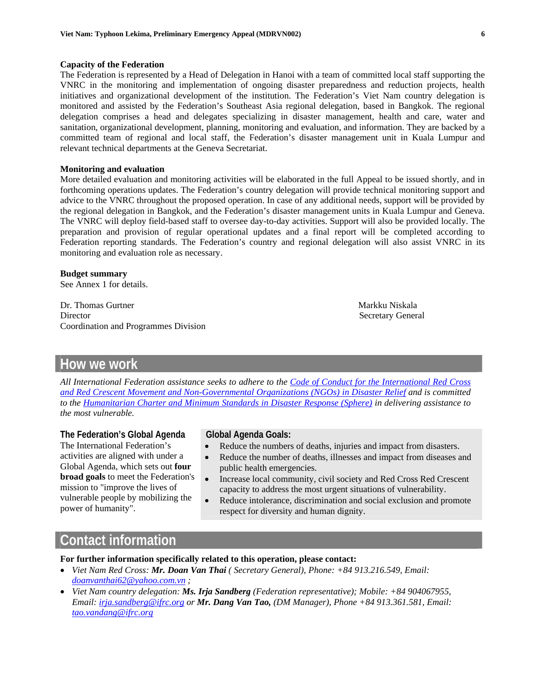#### **Capacity of the Federation**

The Federation is represented by a Head of Delegation in Hanoi with a team of committed local staff supporting the VNRC in the monitoring and implementation of ongoing disaster preparedness and reduction projects, health initiatives and organizational development of the institution. The Federation's Viet Nam country delegation is monitored and assisted by the Federation's Southeast Asia regional delegation, based in Bangkok. The regional delegation comprises a head and delegates specializing in disaster management, health and care, water and sanitation, organizational development, planning, monitoring and evaluation, and information. They are backed by a committed team of regional and local staff, the Federation's disaster management unit in Kuala Lumpur and relevant technical departments at the Geneva Secretariat.

#### **Monitoring and evaluation**

More detailed evaluation and monitoring activities will be elaborated in the full Appeal to be issued shortly, and in forthcoming operations updates. The Federation's country delegation will provide technical monitoring support and advice to the VNRC throughout the proposed operation. In case of any additional needs, support will be provided by the regional delegation in Bangkok, and the Federation's disaster management units in Kuala Lumpur and Geneva. The VNRC will deploy field-based staff to oversee day-to-day activities. Support will also be provided locally. The preparation and provision of regular operational updates and a final report will be completed according to Federation reporting standards. The Federation's country and regional delegation will also assist VNRC in its monitoring and evaluation role as necessary.

#### **Budget summary**

[See Annex 1 for details.](#page-7-0)

Dr. Thomas Gurtner Markku Niskala Director Secretary General Secretary General Secretary General Secretary General Secretary General Secretary General Secretary General Secretary General Secretary General Secretary General Secretary General Secretary Gener Coordination and Programmes Division

### **How we work**

*All International Federation assistance seeks to adhere to the Code of Conduct for the International Red Cross and Red Crescent Movement and Non-Governmental Organiz[ations \(NGOs\) in Disaster Relief](http://www.ifrc.org/publicat/conduct/index.asp) and is committed to the [Humanitarian Charter and Minimum Standards in Disaster Response \(Sphere\) i](http://www.sphereproject.org/)n delivering assistance to the most vulnerable.* 

#### **The Federation's Global Agenda**

The International Federation's activities are aligned with under a Global Agenda, which sets out **four broad goals** to meet the Federation's mission to "improve the lives of vulnerable people by mobilizing the power of humanity".

#### **Global Agenda Goals:**

- Reduce the numbers of deaths, injuries and impact from disasters.
- Reduce the number of deaths, illnesses and impact from diseases and public health emergencies.
- Increase local community, civil society and Red Cross Red Crescent capacity to address the most urgent situations of vulnerability.
- Reduce intolerance, discrimination and social exclusion and promote respect for diversity and human dignity.

### **Contact information**

**For further information specifically related to this operation, please contact:** 

- *Viet Nam Red Cross: Mr. Doan Van Thai ( Secretary General), Phone: +84 913.216.549, Email: doanvanthai62@yahoo.com.vn ;*
- *Viet Nam country delegation: Ms. Irja Sandberg (Federation representative); Mobile: +84 904067955, Email: irja.sandberg@ifrc.org or Mr. Dang Van Tao, (DM Manager), Phone +84 913.361.581, Email: tao.vandang@ifrc.org*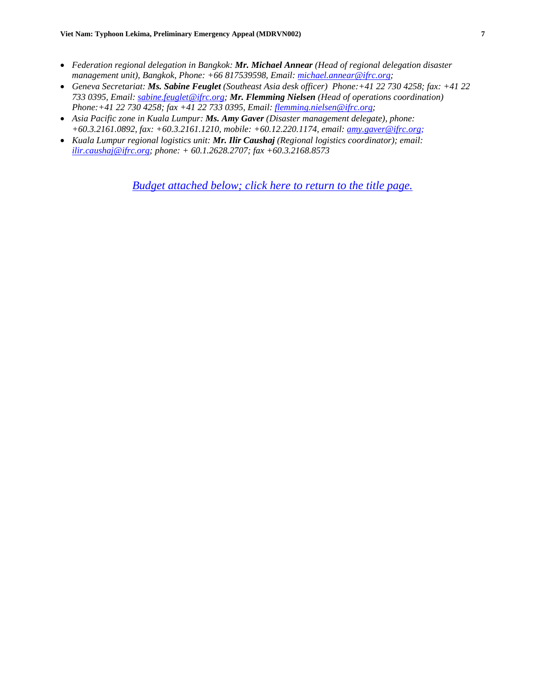- *Federation regional delegation in Bangkok: Mr. Michael Annear (Head of regional delegation disaster management unit), Bangkok, Phone: +66 817539598, Email: michael.annear@ifrc.org;*
- *Geneva Secretariat: Ms. Sabine Feuglet (Southeast Asia desk officer) Phone:+41 22 730 4258; fax: +41 22 733 0395, Email: sabine.feuglet@ifrc.org; Mr. Flemming Nielsen (Head of operations coordination) Phone:+41 22 730 4258; fax +41 22 733 0395, Email: flemming.nielsen@ifrc.org;*
- *Asia Pacific zone in Kuala Lumpur: Ms. Amy Gaver (Disaster management delegate), phone: +60.3.2161.0892, fax: +60.3.2161.1210, mobile: +60.12.220.1174, email: amy.gaver@ifrc.org;*
- *Kuala Lumpur regional logistics unit: Mr. Ilir Caushaj (Regional logistics coordinator); email: ilir.caushaj@ifrc.org; phone: + 60.1.2628.2707; fax +60.3.2168.8573*

*Budget attached below[; click here to return to the title page.](#page-0-0)*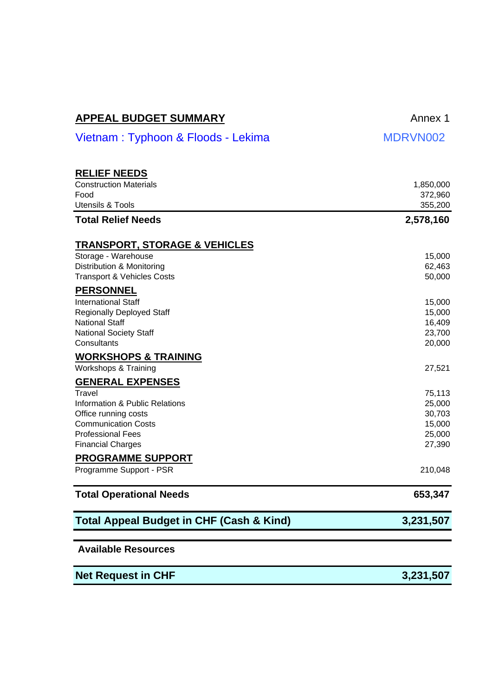<span id="page-7-0"></span>

| <b>APPEAL BUDGET SUMMARY</b> | Annex 1 |
|------------------------------|---------|
|                              |         |

| <b>RELIEF NEEDS</b>                                 |           |
|-----------------------------------------------------|-----------|
| <b>Construction Materials</b>                       | 1,850,000 |
| Food                                                | 372,960   |
| <b>Utensils &amp; Tools</b>                         | 355,200   |
| <b>Total Relief Needs</b>                           | 2,578,160 |
| <u>TRANSPORT, STORAGE &amp; VEHICLES</u>            |           |
| Storage - Warehouse                                 | 15,000    |
| Distribution & Monitoring                           | 62,463    |
| <b>Transport &amp; Vehicles Costs</b>               | 50,000    |
| <b>PERSONNEL</b>                                    |           |
| <b>International Staff</b>                          | 15,000    |
| <b>Regionally Deployed Staff</b>                    | 15,000    |
| National Staff                                      | 16,409    |
| <b>National Society Staff</b>                       | 23,700    |
| Consultants                                         | 20,000    |
| <b>WORKSHOPS &amp; TRAINING</b>                     |           |
| Workshops & Training                                | 27,521    |
| <b>GENERAL EXPENSES</b>                             |           |
| Travel                                              | 75,113    |
| Information & Public Relations                      | 25,000    |
| Office running costs                                | 30,703    |
| <b>Communication Costs</b>                          | 15,000    |
| <b>Professional Fees</b>                            | 25,000    |
| <b>Financial Charges</b>                            | 27,390    |
| <b>PROGRAMME SUPPORT</b>                            |           |
| Programme Support - PSR                             | 210,048   |
| <b>Total Operational Needs</b>                      | 653,347   |
| <b>Total Appeal Budget in CHF (Cash &amp; Kind)</b> | 3,231,507 |
| <b>Available Resources</b>                          |           |
| <b>Net Request in CHF</b>                           | 3,231,507 |

 $MDRVN002$